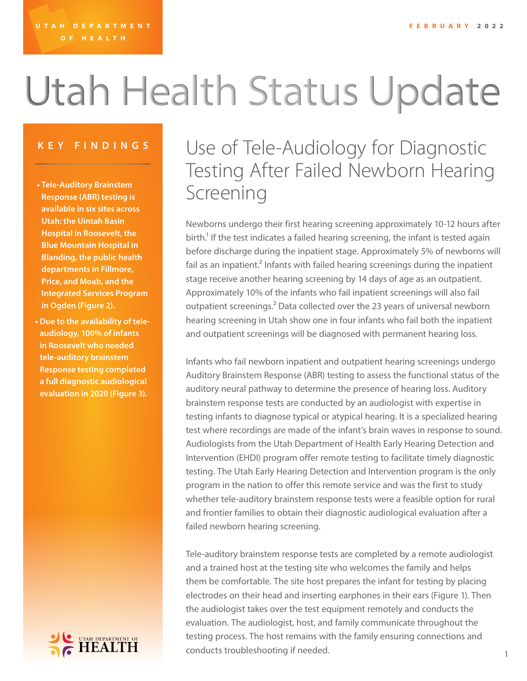# Utah Health Status Update

- **• Tele-Auditory Brainstem Response (ABR) testing is available in six sites across Utah: the Uintah Basin Hospital in Roosevelt, the Blue Mountain Hospital in Blanding, the public health departments in Fillmore, Price, and Moab, and the Integrated Services Program in Ogden (Figure 2).**
- **• Due to the availability of teleaudiology, 100% of infants in Roosevelt who needed tele-auditory brainstem Response testing completed a full diagnostic audiological evaluation in 2020 (Figure 3).**



### **KEY FINDINGS** Use of Tele-Audiology for Diagnostic Testing After Failed Newborn Hearing Screening

Newborns undergo their first hearing screening approximately 10-12 hours after birth.<sup>1</sup> If the test indicates a failed hearing screening, the infant is tested again before discharge during the inpatient stage. Approximately 5% of newborns will fail as an inpatient.<sup>2</sup> Infants with failed hearing screenings during the inpatient stage receive another hearing screening by 14 days of age as an outpatient. Approximately 10% of the infants who fail inpatient screenings will also fail outpatient screenings.<sup>2</sup> Data collected over the 23 years of universal newborn hearing screening in Utah show one in four infants who fail both the inpatient and outpatient screenings will be diagnosed with permanent hearing loss.

Infants who fail newborn inpatient and outpatient hearing screenings undergo Auditory Brainstem Response (ABR) testing to assess the functional status of the auditory neural pathway to determine the presence of hearing loss. Auditory brainstem response tests are conducted by an audiologist with expertise in testing infants to diagnose typical or atypical hearing. It is a specialized hearing test where recordings are made of the infant's brain waves in response to sound. Audiologists from the Utah Department of Health Early Hearing Detection and Intervention (EHDI) program offer remote testing to facilitate timely diagnostic testing. The Utah Early Hearing Detection and Intervention program is the only program in the nation to offer this remote service and was the first to study whether tele-auditory brainstem response tests were a feasible option for rural and frontier families to obtain their diagnostic audiological evaluation after a failed newborn hearing screening.

Tele-auditory brainstem response tests are completed by a remote audiologist and a trained host at the testing site who welcomes the family and helps them be comfortable. The site host prepares the infant for testing by placing electrodes on their head and inserting earphones in their ears (Figure 1). Then the audiologist takes over the test equipment remotely and conducts the evaluation. The audiologist, host, and family communicate throughout the testing process. The host remains with the family ensuring connections and conducts troubleshooting if needed.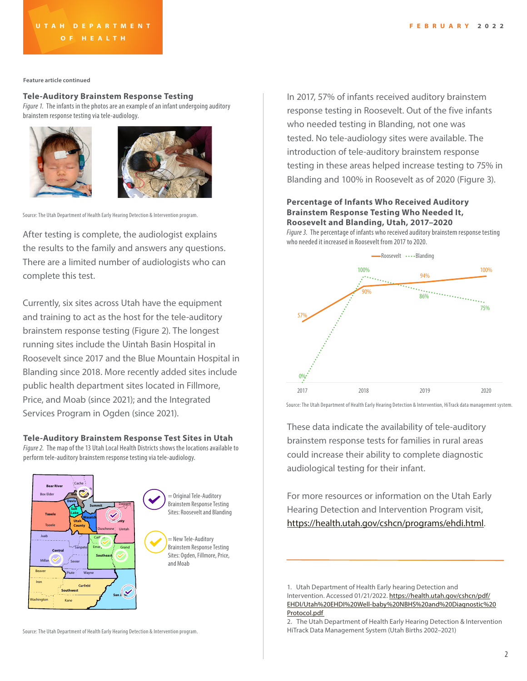**Feature article continued**

#### **Tele-Auditory Brainstem Response Testing**

*Figure 1.* The infants in the photos are an example of an infant undergoing auditory brainstem response testing via tele-audiology.





Source: The Utah Department of Health Early Hearing Detection & Intervention program.

After testing is complete, the audiologist explains the results to the family and answers any questions. There are a limited number of audiologists who can complete this test.

Currently, six sites across Utah have the equipment and training to act as the host for the tele-auditory brainstem response testing (Figure 2). The longest running sites include the Uintah Basin Hospital in Roosevelt since 2017 and the Blue Mountain Hospital in Blanding since 2018. More recently added sites include public health department sites located in Fillmore, Price, and Moab (since 2021); and the Integrated Services Program in Ogden (since 2021).

#### **Tele-Auditory Brainstem Response Test Sites in Utah**

*Figure 2.* The map of the 13 Utah Local Health Districts shows the locations available to perform tele-auditory brainstem response testing via tele-audiology.



In 2017, 57% of infants received auditory brainstem response testing in Roosevelt. Out of the five infants who needed testing in Blanding, not one was tested. No tele-audiology sites were available. The introduction of tele-auditory brainstem response testing in these areas helped increase testing to 75% in Blanding and 100% in Roosevelt as of 2020 (Figure 3).

#### **Percentage of Infants Who Received Auditory Brainstem Response Testing Who Needed It, Roosevelt and Blanding, Utah, 2017–2020**

*Figure 3.* The percentage of infants who received auditory brainstem response testing who needed it increased in Roosevelt from 2017 to 2020.



Source: The Utah Department of Health Early Hearing Detection & Intervention, HiTrack data management system.

These data indicate the availability of tele-auditory brainstem response tests for families in rural areas could increase their ability to complete diagnostic audiological testing for their infant.

For more resources or information on the Utah Early Hearing Detection and Intervention Program visit, <https://health.utah.gov/cshcn/programs/ehdi.html>.

<sup>1.</sup> Utah Department of Health Early hearing Detection and Intervention. Accessed 01/21/2022. [https://health.utah.gov/cshcn/pdf/](https://health.utah.gov/cshcn/pdf/EHDI/Utah%20EHDI%20Well-baby%20NBHS%20and%20Diagnostic%20Protocol.) [EHDI/Utah%20EHDI%20Well-baby%20NBHS%20and%20Diagnostic%20](https://health.utah.gov/cshcn/pdf/EHDI/Utah%20EHDI%20Well-baby%20NBHS%20and%20Diagnostic%20Protocol.) [Protocol.pdf](https://health.utah.gov/cshcn/pdf/EHDI/Utah%20EHDI%20Well-baby%20NBHS%20and%20Diagnostic%20Protocol.)

Source: The Utah Department of Health Early Hearing Detection & Intervention program.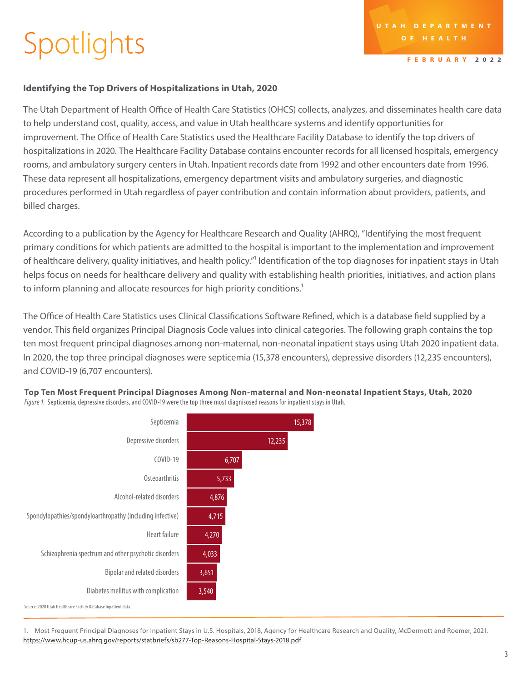## Spotlights

**FEBRUARY 2022**

### **Identifying the Top Drivers of Hospitalizations in Utah, 2020**

The Utah Department of Health Office of Health Care Statistics (OHCS) collects, analyzes, and disseminates health care data to help understand cost, quality, access, and value in Utah healthcare systems and identify opportunities for improvement. The Office of Health Care Statistics used the Healthcare Facility Database to identify the top drivers of hospitalizations in 2020. The Healthcare Facility Database contains encounter records for all licensed hospitals, emergency rooms, and ambulatory surgery centers in Utah. Inpatient records date from 1992 and other encounters date from 1996. These data represent all hospitalizations, emergency department visits and ambulatory surgeries, and diagnostic procedures performed in Utah regardless of payer contribution and contain information about providers, patients, and billed charges.

According to a publication by the Agency for Healthcare Research and Quality (AHRQ), "Identifying the most frequent primary conditions for which patients are admitted to the hospital is important to the implementation and improvement of healthcare delivery, quality initiatives, and health policy."1 Identification of the top diagnoses for inpatient stays in Utah helps focus on needs for healthcare delivery and quality with establishing health priorities, initiatives, and action plans to inform planning and allocate resources for high priority conditions.<sup>1</sup>

The Office of Health Care Statistics uses Clinical Classifications Software Refined, which is a database field supplied by a vendor. This field organizes Principal Diagnosis Code values into clinical categories. The following graph contains the top ten most frequent principal diagnoses among non-maternal, non-neonatal inpatient stays using Utah 2020 inpatient data. In 2020, the top three principal diagnoses were septicemia (15,378 encounters), depressive disorders (12,235 encounters), and COVID-19 (6,707 encounters).



**Top Ten Most Frequent Principal Diagnoses Among Non-maternal and Non-neonatal Inpatient Stays, Utah, 2020**  *Figure 1.* Septicemia, depressive disorders, and COVID-19 were the top three most diagnisosed reasons for inpatient stays in Utah.

1. Most Frequent Principal Diagnoses for Inpatient Stays in U.S. Hospitals, 2018, Agency for Healthcare Research and Quality, McDermott and Roemer, 2021. <https://www.hcup-us.ahrq.gov/reports/statbriefs/sb277-Top-Reasons-Hospital-Stays-2018.pdf>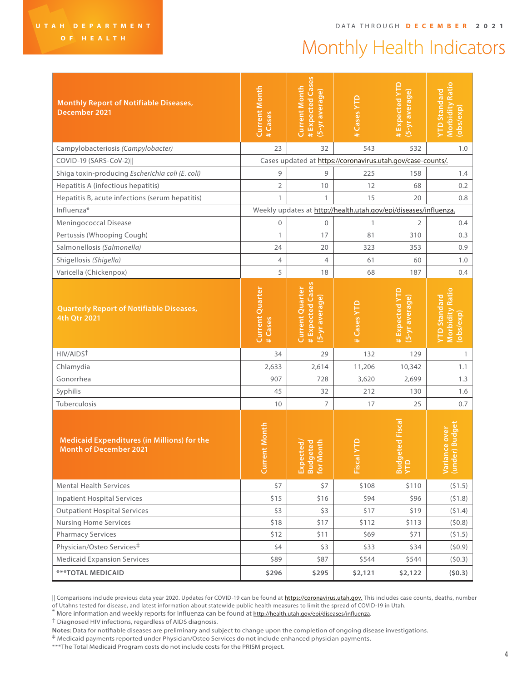## Monthly Health Indicators

| <b>Monthly Report of Notifiable Diseases,</b><br>December 2021                      | <b>Current Month</b><br># Cases                                  | # Expected Cases<br><b>Current Month</b><br>(5-yr average)          | # Cases YTD | #Expected YTD<br>(5-yr average)                             | <b>Morbidity Ratio</b><br>YTD Standard<br>(obs/exp)        |  |  |
|-------------------------------------------------------------------------------------|------------------------------------------------------------------|---------------------------------------------------------------------|-------------|-------------------------------------------------------------|------------------------------------------------------------|--|--|
| Campylobacteriosis (Campylobacter)                                                  | 23                                                               | 32                                                                  | 543         | 532                                                         | 1.0                                                        |  |  |
| COVID-19 (SARS-CoV-2)                                                               |                                                                  |                                                                     |             | Cases updated at https://coronavirus.utah.gov/case-counts/. |                                                            |  |  |
| Shiga toxin-producing Escherichia coli (E. coli)                                    | 9                                                                | 9                                                                   | 225         | 158                                                         | 1.4                                                        |  |  |
| Hepatitis A (infectious hepatitis)                                                  | 2                                                                | 10                                                                  | 12          | 68                                                          | 0.2                                                        |  |  |
| Hepatitis B, acute infections (serum hepatitis)                                     | $\mathbf{1}$                                                     | 1                                                                   | 15          | 20                                                          | 0.8                                                        |  |  |
| Influenza*                                                                          | Weekly updates at http://health.utah.gov/epi/diseases/influenza. |                                                                     |             |                                                             |                                                            |  |  |
| Meningococcal Disease                                                               | $\mathbf{0}$                                                     | $\mathbf{0}$                                                        | 1           | 2                                                           | 0.4                                                        |  |  |
| Pertussis (Whooping Cough)                                                          | $\mathbf{1}$                                                     | 17                                                                  | 81          | 310                                                         | 0.3                                                        |  |  |
| Salmonellosis (Salmonella)                                                          | 24                                                               | 20                                                                  | 323         | 353                                                         | 0.9                                                        |  |  |
| Shigellosis (Shigella)                                                              | 4                                                                | $\overline{4}$                                                      | 61          | 60                                                          | 1.0                                                        |  |  |
| Varicella (Chickenpox)                                                              | 5                                                                | 18                                                                  | 68          | 187                                                         | 0.4                                                        |  |  |
| <b>Quarterly Report of Notifiable Diseases,</b><br>4th Qtr 2021                     | <b>Current Quarter</b><br>#Cases                                 | # Expected Cases<br><b>Current Quarter</b><br><u>(5-yr average)</u> | # Cases YTD | #Expected YTD<br>(5-yr average)                             | <b>Morbidity Ratio</b><br><b>YTD Standard</b><br>(obs/exp) |  |  |
| HIV/AIDST                                                                           | 34                                                               | 29                                                                  | 132         | 129                                                         | $\mathbf{1}$                                               |  |  |
| Chlamydia                                                                           | 2,633                                                            | 2,614                                                               | 11,206      | 10,342                                                      | 1.1                                                        |  |  |
| Gonorrhea                                                                           | 907                                                              | 728                                                                 | 3,620       | 2,699                                                       | 1.3                                                        |  |  |
| Syphilis                                                                            | 45                                                               | 32                                                                  | 212         | 130                                                         | 1.6                                                        |  |  |
| Tuberculosis                                                                        | 10                                                               | $\overline{7}$                                                      | 17          | 25                                                          | 0.7                                                        |  |  |
| <b>Medicaid Expenditures (in Millions) for the</b><br><b>Month of December 2021</b> | ent Month<br>Gury                                                | onth<br>eted<br>cted,                                               | Fiscal      | eted Fisca<br><b>Bud</b><br>YTD                             | er) Budget<br>Variance over<br>(under) Budge               |  |  |
| <b>Mental Health Services</b>                                                       | \$7                                                              | \$7                                                                 | \$108       | \$110                                                       | (51.5)                                                     |  |  |
| <b>Inpatient Hospital Services</b>                                                  | \$15                                                             | \$16                                                                | \$94        | \$96                                                        | (51.8)                                                     |  |  |
| <b>Outpatient Hospital Services</b>                                                 | \$3                                                              | \$3                                                                 | \$17        | \$19                                                        | (51.4)                                                     |  |  |
| <b>Nursing Home Services</b>                                                        | \$18                                                             | \$17                                                                | \$112       | \$113                                                       | (50.8)                                                     |  |  |
| <b>Pharmacy Services</b>                                                            | \$12                                                             | \$11                                                                | \$69        | \$71                                                        | (51.5)                                                     |  |  |
| Physician/Osteo Services <sup>‡</sup>                                               | \$4                                                              | \$3                                                                 | \$33        | \$34                                                        | (50.9)                                                     |  |  |
| <b>Medicaid Expansion Services</b>                                                  | \$89                                                             | \$87                                                                | \$544       | \$544                                                       | (50.3)                                                     |  |  |
| <b>***TOTAL MEDICAID</b>                                                            | \$296                                                            | \$295                                                               | \$2,121     | \$2,122                                                     | (50.3)                                                     |  |  |

<sup>||</sup> Comparisons include previous data year 2020. Updates for COVID-19 can be found at **[https://coronavirus.utah.gov.](https://coronavirus.utah.gov)** This includes case counts, deaths, number of Utahns tested for disease, and latest information about statewide public health measures to limit the spread of COVID-19 in Utah.

\* More information and weekly reports for Influenza can be found at<http://health.utah.gov/epi/diseases/influenza>.<br>† Diagnosed HIV infections, regardless of AIDS diagnosis.

**Notes**: Data for notifiable diseases are preliminary and subject to change upon the completion of ongoing disease investigations.

‡ Medicaid payments reported under Physician/Osteo Services do not include enhanced physician payments.

\*\*\*The Total Medicaid Program costs do not include costs for the PRISM project.